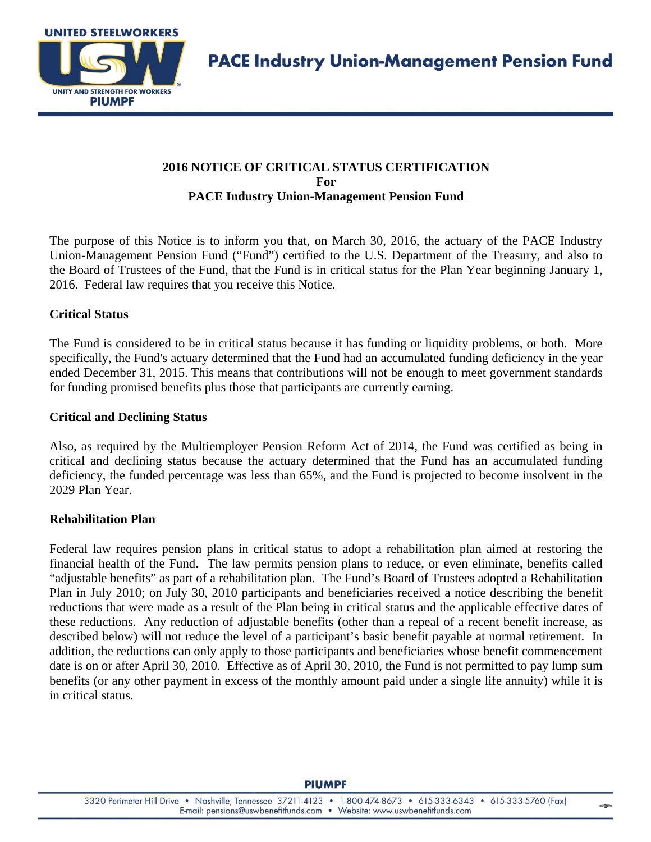

# **2016 NOTICE OF CRITICAL STATUS CERTIFICATION For PACE Industry Union-Management Pension Fund**

The purpose of this Notice is to inform you that, on March 30, 2016, the actuary of the PACE Industry Union-Management Pension Fund ("Fund") certified to the U.S. Department of the Treasury, and also to the Board of Trustees of the Fund, that the Fund is in critical status for the Plan Year beginning January 1, 2016. Federal law requires that you receive this Notice.

# **Critical Status**

The Fund is considered to be in critical status because it has funding or liquidity problems, or both. More specifically, the Fund's actuary determined that the Fund had an accumulated funding deficiency in the year ended December 31, 2015. This means that contributions will not be enough to meet government standards for funding promised benefits plus those that participants are currently earning.

#### **Critical and Declining Status**

Also, as required by the Multiemployer Pension Reform Act of 2014, the Fund was certified as being in critical and declining status because the actuary determined that the Fund has an accumulated funding deficiency, the funded percentage was less than 65%, and the Fund is projected to become insolvent in the 2029 Plan Year.

### **Rehabilitation Plan**

Federal law requires pension plans in critical status to adopt a rehabilitation plan aimed at restoring the financial health of the Fund. The law permits pension plans to reduce, or even eliminate, benefits called "adjustable benefits" as part of a rehabilitation plan. The Fund's Board of Trustees adopted a Rehabilitation Plan in July 2010; on July 30, 2010 participants and beneficiaries received a notice describing the benefit reductions that were made as a result of the Plan being in critical status and the applicable effective dates of these reductions. Any reduction of adjustable benefits (other than a repeal of a recent benefit increase, as described below) will not reduce the level of a participant's basic benefit payable at normal retirement. In addition, the reductions can only apply to those participants and beneficiaries whose benefit commencement date is on or after April 30, 2010. Effective as of April 30, 2010, the Fund is not permitted to pay lump sum benefits (or any other payment in excess of the monthly amount paid under a single life annuity) while it is in critical status.